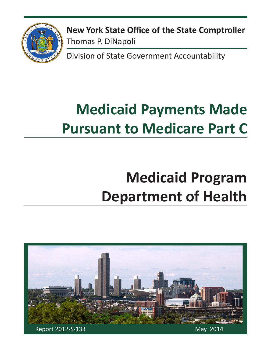

**New York State Office of the State Comptroller** Thomas P. DiNapoli

Division of State Government Accountability

# **Medicaid Payments Made Pursuant to Medicare Part C**

# **Medicaid Program Department of Health**

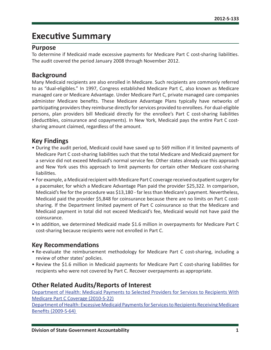# **Executive Summary**

### **Purpose**

To determine if Medicaid made excessive payments for Medicare Part C cost-sharing liabilities. The audit covered the period January 2008 through November 2012.

### **Background**

Many Medicaid recipients are also enrolled in Medicare. Such recipients are commonly referred to as "dual-eligibles." In 1997, Congress established Medicare Part C, also known as Medicare managed care or Medicare Advantage. Under Medicare Part C, private managed care companies administer Medicare benefits. These Medicare Advantage Plans typically have networks of participating providers they reimburse directly for services provided to enrollees. For dual-eligible persons, plan providers bill Medicaid directly for the enrollee's Part C cost-sharing liabilities (deductibles, coinsurance and copayments). In New York, Medicaid pays the entire Part C costsharing amount claimed, regardless of the amount.

### **Key Findings**

- During the audit period, Medicaid could have saved up to \$69 million if it limited payments of Medicare Part C cost-sharing liabilities such that the total Medicare and Medicaid payment for a service did not exceed Medicaid's normal service fee. Other states already use this approach and New York uses this approach to limit payments for certain other Medicare cost-sharing liabilities.
- For example, a Medicaid recipient with Medicare Part C coverage received outpatient surgery for a pacemaker, for which a Medicare Advantage Plan paid the provider \$25,322. In comparison, Medicaid's fee for the procedure was \$13,180 - far less than Medicare's payment. Nevertheless, Medicaid paid the provider \$5,848 for coinsurance because there are no limits on Part C costsharing. If the Department limited payment of Part C coinsurance so that the Medicare and Medicaid payment in total did not exceed Medicaid's fee, Medicaid would not have paid the coinsurance.
- In addition, we determined Medicaid made \$1.6 million in overpayments for Medicare Part C cost-sharing because recipients were not enrolled in Part C.

### **Key Recommendations**

- Re-evaluate the reimbursement methodology for Medicare Part C cost-sharing, including a review of other states' policies.
- Review the \$1.6 million in Medicaid payments for Medicare Part C cost-sharing liabilities for recipients who were not covered by Part C. Recover overpayments as appropriate.

### **Other Related Audits/Reports of Interest**

[Department of Health: Medicaid Payments to Selected Providers for Services to Recipients With](http://osc.state.ny.us/audits/allaudits/093011/10s22.pdf)  [Medicare Part C Coverage \(2010-S-22\)](http://osc.state.ny.us/audits/allaudits/093011/10s22.pdf)

[Department of Health: Excessive Medicaid Payments for Services to Recipients Receiving Medicare](http://osc.state.ny.us/audits/allaudits/093010/09s64.pdf)  [Benefits \(2009-S-64\)](http://osc.state.ny.us/audits/allaudits/093010/09s64.pdf)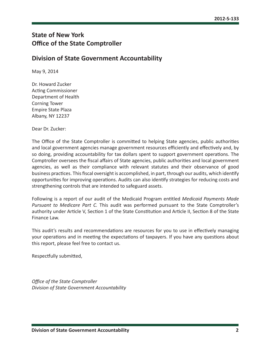# **State of New York Office of the State Comptroller**

### **Division of State Government Accountability**

May 9, 2014

Dr. Howard Zucker Acting Commissioner Department of Health Corning Tower Empire State Plaza Albany, NY 12237

Dear Dr. Zucker:

The Office of the State Comptroller is committed to helping State agencies, public authorities and local government agencies manage government resources efficiently and effectively and, by so doing, providing accountability for tax dollars spent to support government operations. The Comptroller oversees the fiscal affairs of State agencies, public authorities and local government agencies, as well as their compliance with relevant statutes and their observance of good business practices. This fiscal oversight is accomplished, in part, through our audits, which identify opportunities for improving operations. Audits can also identify strategies for reducing costs and strengthening controls that are intended to safeguard assets.

Following is a report of our audit of the Medicaid Program entitled *Medicaid Payments Made Pursuant to Medicare Part C.* This audit was performed pursuant to the State Comptroller's authority under Article V, Section 1 of the State Constitution and Article II, Section 8 of the State Finance Law.

This audit's results and recommendations are resources for you to use in effectively managing your operations and in meeting the expectations of taxpayers. If you have any questions about this report, please feel free to contact us.

Respectfully submitted,

*Office of the State Comptroller Division of State Government Accountability*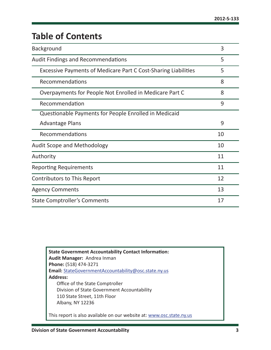# **Table of Contents**

| Background                                                     | 3  |
|----------------------------------------------------------------|----|
| <b>Audit Findings and Recommendations</b>                      | 5  |
| Excessive Payments of Medicare Part C Cost-Sharing Liabilities | 5  |
| Recommendations                                                | 8  |
| Overpayments for People Not Enrolled in Medicare Part C        | 8  |
| Recommendation                                                 | 9  |
| Questionable Payments for People Enrolled in Medicaid          |    |
| <b>Advantage Plans</b>                                         | 9  |
| Recommendations                                                | 10 |
| <b>Audit Scope and Methodology</b>                             | 10 |
| Authority                                                      | 11 |
| <b>Reporting Requirements</b>                                  | 11 |
| <b>Contributors to This Report</b>                             | 12 |
| <b>Agency Comments</b>                                         | 13 |
| <b>State Comptroller's Comments</b>                            | 17 |

**State Government Accountability Contact Information: Audit Manager:** Andrea Inman **Phone:** (518) 474-3271 **Email:** StateGovernmentAccountability@osc.state.ny.us **Address:** Office of the State Comptroller Division of State Government Accountability 110 State Street, 11th Floor Albany, NY 12236

This report is also available on our website at: www.osc.state.ny.us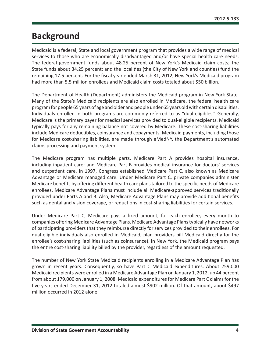# **Background**

Medicaid is a federal, State and local government program that provides a wide range of medical services to those who are economically disadvantaged and/or have special health care needs. The federal government funds about 48.25 percent of New York's Medicaid claim costs; the State funds about 34.25 percent; and the localities (the City of New York and counties) fund the remaining 17.5 percent. For the fiscal year ended March 31, 2012, New York's Medicaid program had more than 5.5 million enrollees and Medicaid claim costs totaled about \$50 billion.

The Department of Health (Department) administers the Medicaid program in New York State. Many of the State's Medicaid recipients are also enrolled in Medicare, the federal health care program for people 65 years of age and older and people under 65 years old with certain disabilities. Individuals enrolled in both programs are commonly referred to as "dual-eligibles." Generally, Medicare is the primary payer for medical services provided to dual-eligible recipients. Medicaid typically pays for any remaining balance not covered by Medicare. These cost-sharing liabilities include Medicare deductibles, coinsurance and copayments. Medicaid payments, including those for Medicare cost-sharing liabilities, are made through eMedNY, the Department's automated claims processing and payment system.

The Medicare program has multiple parts. Medicare Part A provides hospital insurance, including inpatient care; and Medicare Part B provides medical insurance for doctors' services and outpatient care. In 1997, Congress established Medicare Part C, also known as Medicare Advantage or Medicare managed care. Under Medicare Part C, private companies administer Medicare benefits by offering different health care plans tailored to the specific needs of Medicare enrollees. Medicare Advantage Plans must include all Medicare-approved services traditionally provided under Parts A and B. Also, Medicare Advantage Plans may provide additional benefits such as dental and vision coverage, or reductions in cost-sharing liabilities for certain services.

Under Medicare Part C, Medicare pays a fixed amount, for each enrollee, every month to companies offering Medicare Advantage Plans. Medicare Advantage Plans typically have networks of participating providers that they reimburse directly for services provided to their enrollees. For dual-eligible individuals also enrolled in Medicaid, plan providers bill Medicaid directly for the enrollee's cost-sharing liabilities (such as coinsurance). In New York, the Medicaid program pays the entire cost-sharing liability billed by the provider, regardless of the amount requested.

The number of New York State Medicaid recipients enrolling in a Medicare Advantage Plan has grown in recent years. Consequently, so have Part C Medicaid expenditures. About 259,000 Medicaid recipients were enrolled in a Medicare Advantage Plan on January 1, 2012, up 44 percent from about 179,000 on January 1, 2008. Medicaid expenditures for Medicare Part C claims for the five years ended December 31, 2012 totaled almost \$902 million. Of that amount, about \$497 million occurred in 2012 alone.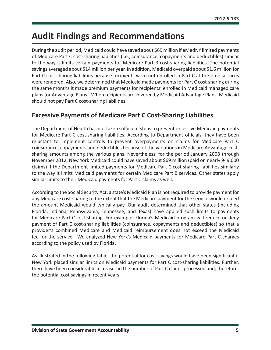# <span id="page-5-0"></span>**Audit Findings and Recommendations**

During the audit period, Medicaid could have saved about \$69 million if eMedNY limited payments of Medicare Part C cost-sharing liabilities (i.e., coinsurance, copayments and deductibles) similar to the way it limits certain payments for Medicare Part B cost-sharing liabilities. The potential savings averaged about \$14 million per year. In addition, Medicaid overpaid about \$1.6 million for Part C cost-sharing liabilities because recipients were not enrolled in Part C at the time services were rendered. Also, we determined that Medicaid made payments for Part C cost-sharing during the same months it made premium payments for recipients' enrolled in Medicaid managed care plans (or Advantage Plans). When recipients are covered by Medicaid Advantage Plans, Medicaid should not pay Part C cost-sharing liabilities.

### **Excessive Payments of Medicare Part C Cost-Sharing Liabilities**

The Department of Health has not taken sufficient steps to prevent excessive Medicaid payments for Medicare Part C cost-sharing liabilities. According to Department officials, they have been reluctant to implement controls to prevent overpayments on claims for Medicare Part C coinsurance, copayments and deductibles because of the variations in Medicare Advantage costsharing amounts among the various plans. Nevertheless, for the period January 2008 through November 2012, New York Medicaid could have saved about \$69 million (paid on nearly 949,000 claims) if the Department limited payments for Medicare Part C cost-sharing liabilities similarly to the way it limits Medicaid payments for certain Medicare Part B services. Other states apply similar limits to their Medicaid payments for Part C claims as well.

According to the Social Security Act, a state's Medicaid Plan is not required to provide payment for any Medicare cost-sharing to the extent that the Medicare payment for the service would exceed the amount Medicaid would typically pay. Our audit determined that other states (including Florida, Indiana, Pennsylvania, Tennessee, and Texas) have applied such limits to payments for Medicare Part C cost-sharing. For example, Florida's Medicaid program will reduce or deny payment of Part C cost-sharing liabilities (coinsurance, copayments and deductibles) so that a provider's combined Medicare and Medicaid reimbursement does not exceed the Medicaid fee for the service. We analyzed New York's Medicaid payments for Medicare Part C charges according to the policy used by Florida.

As illustrated in the following table, the potential for cost savings would have been significant if New York placed similar limits on Medicaid payments for Part C cost-sharing liabilities. Further, there have been considerable increases in the number of Part C claims processed and, therefore, the potential cost savings in recent years.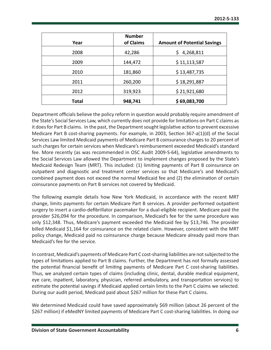| Year         | <b>Number</b><br>of Claims | <b>Amount of Potential Savings</b> |
|--------------|----------------------------|------------------------------------|
| 2008         | 42,286                     | 4,268,811<br>\$                    |
| 2009         | 144,472                    | \$11,113,587                       |
| 2010         | 181,860                    | \$13,487,735                       |
| 2011         | 260,200                    | \$18,291,887                       |
| 2012         | 319,923                    | \$21,921,680                       |
| <b>Total</b> | 948,741                    | \$69,083,700                       |

Department officials believe the policy reform in question would probably require amendment of the State's Social Services Law, which currently does not provide for limitations on Part C claims as it does for Part B claims. In the past, the Department sought legislative action to prevent excessive Medicare Part B cost-sharing payments. For example, in 2003, Section 367-a(1)(d) of the Social Services Law limited Medicaid payments of Medicare Part B coinsurance charges to 20 percent of such charges for certain services when Medicare's reimbursement exceeded Medicaid's standard fee. More recently (as was recommended in OSC Audit 2009-S-64), legislative amendments to the Social Services Law allowed the Department to implement changes proposed by the State's Medicaid Redesign Team (MRT). This included: (1) limiting payments of Part B coinsurance on outpatient and diagnostic and treatment center services so that Medicare's and Medicaid's combined payment does not exceed the normal Medicaid fee and (2) the elimination of certain coinsurance payments on Part B services not covered by Medicaid.

The following example details how New York Medicaid, in accordance with the recent MRT change, limits payments for certain Medicare Part B services. A provider performed outpatient surgery to insert a cardio-defibrillator pacemaker for a dual-eligible recipient. Medicare paid the provider \$26,094 for the procedure. In comparison, Medicaid's fee for the same procedure was only \$12,348. Thus, Medicare's payment exceeded the Medicaid fee by \$13,746. The provider billed Medicaid \$1,164 for coinsurance on the related claim. However, consistent with the MRT policy change, Medicaid paid no coinsurance charge because Medicare already paid more than Medicaid's fee for the service.

In contrast, Medicaid's payments of Medicare Part C cost-sharing liabilities are not subjected to the types of limitations applied to Part B claims. Further, the Department has not formally assessed the potential financial benefit of limiting payments of Medicare Part C cost-sharing liabilities. Thus, we analyzed certain types of claims (including clinic, dental, durable medical equipment, eye care, inpatient, laboratory, physician, referred ambulatory, and transportation services) to estimate the potential savings if Medicaid applied certain limits to the Part C claims we selected. During our audit period, Medicaid paid about \$267 million for these Part C claims.

We determined Medicaid could have saved approximately \$69 million (about 26 percent of the \$267 million) if eMedNY limited payments of Medicare Part C cost-sharing liabilities. In doing our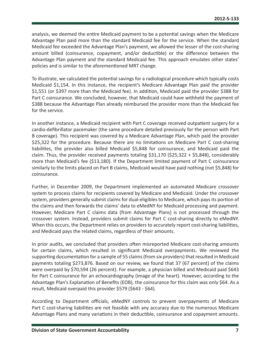analysis, we deemed the entire Medicaid payment to be a potential savings when the Medicare Advantage Plan paid more than the standard Medicaid fee for the service. When the standard Medicaid fee exceeded the Advantage Plan's payment, we allowed the lesser of the cost-sharing amount billed (coinsurance, copayment, and/or deductible) or the difference between the Advantage Plan payment and the standard Medicaid fee. This approach emulates other states' policies and is similar to the aforementioned MRT change.

To illustrate, we calculated the potential savings for a radiological procedure which typically costs Medicaid \$1,154. In this instance, the recipient's Medicare Advantage Plan paid the provider \$1,551 (or \$397 more than the Medicaid fee). In addition, Medicaid paid the provider \$388 for Part C coinsurance. We concluded, however, that Medicaid could have withheld the payment of \$388 because the Advantage Plan already reimbursed the provider more than the Medicaid fee for the service.

In another instance, a Medicaid recipient with Part C coverage received outpatient surgery for a cardio-defibrillator pacemaker (the same procedure detailed previously for the person with Part B coverage). This recipient was covered by a Medicare Advantage Plan, which paid the provider \$25,322 for the procedure. Because there are no limitations on Medicare Part C cost-sharing liabilities, the provider also billed Medicaid \$5,848 for coinsurance, and Medicaid paid the claim. Thus, the provider received payments totaling \$31,170 (\$25,322 + \$5,848), considerably more than Medicaid's fee (\$13,180). If the Department limited payment of Part C coinsurance similarly to the limits placed on Part B claims, Medicaid would have paid nothing (not \$5,848) for coinsurance.

Further, in December 2009, the Department implemented an automated Medicare crossover system to process claims for recipients covered by Medicare and Medicaid. Under the crossover system, providers generally submit claims for dual-eligibles to Medicare, which pays its portion of the claims and then forwards the claims' data to eMedNY for Medicaid processing and payment. However, Medicare Part C claims data (from Advantage Plans) is not processed through the crossover system. Instead, providers submit claims for Part C cost-sharing directly to eMedNY. When this occurs, the Department relies on providers to accurately report cost-sharing liabilities, and Medicaid pays the related claims, regardless of their amounts.

In prior audits, we concluded that providers often misreported Medicare cost-sharing amounts for certain claims, which resulted in significant Medicaid overpayments. We reviewed the supporting documentation for a sample of 55 claims (from six providers) that resulted in Medicaid payments totaling \$273,876. Based on our review, we found that 37 (67 percent) of the claims were overpaid by \$70,594 (26 percent). For example, a physician billed and Medicaid paid \$643 for Part C coinsurance for an echocardiography (image of the heart). However, according to the Advantage Plan's Explanation of Benefits (EOB), the coinsurance for this claim was only \$64. As a result, Medicaid overpaid this provider \$579 (\$643 - \$64).

According to Department officials, eMedNY controls to prevent overpayments of Medicare Part C cost-sharing liabilities are not feasible with any accuracy due to the numerous Medicare Advantage Plans and many variations in their deductible, coinsurance and copayment amounts.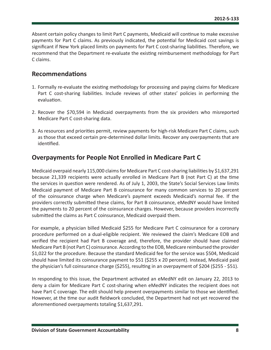<span id="page-8-0"></span>Absent certain policy changes to limit Part C payments, Medicaid will continue to make excessive payments for Part C claims. As previously indicated, the potential for Medicaid cost savings is significant if New York placed limits on payments for Part C cost-sharing liabilities. Therefore, we recommend that the Department re-evaluate the existing reimbursement methodology for Part C claims.

### **Recommendations**

- 1. Formally re-evaluate the existing methodology for processing and paying claims for Medicare Part C cost-sharing liabilities. Include reviews of other states' policies in performing the evaluation.
- 2. Recover the \$70,594 in Medicaid overpayments from the six providers who misreported Medicare Part C cost-sharing data.
- 3. As resources and priorities permit, review payments for high-risk Medicare Part C claims, such as those that exceed certain pre-determined dollar limits. Recover any overpayments that are identified.

### **Overpayments for People Not Enrolled in Medicare Part C**

Medicaid overpaid nearly 115,000 claims for Medicare Part C cost-sharing liabilities by \$1,637,291 because 21,339 recipients were actually enrolled in Medicare Part B (not Part C) at the time the services in question were rendered. As of July 1, 2003, the State's Social Services Law limits Medicaid payment of Medicare Part B coinsurance for many common services to 20 percent of the coinsurance charge when Medicare's payment exceeds Medicaid's normal fee. If the providers correctly submitted these claims, for Part B coinsurance, eMedNY would have limited the payments to 20 percent of the coinsurance charges. However, because providers incorrectly submitted the claims as Part C coinsurance, Medicaid overpaid them.

For example, a physician billed Medicaid \$255 for Medicare Part C coinsurance for a coronary procedure performed on a dual-eligible recipient. We reviewed the claim's Medicare EOB and verified the recipient had Part B coverage and, therefore, the provider should have claimed Medicare Part B (not Part C) coinsurance. According to the EOB, Medicare reimbursed the provider \$1,022 for the procedure. Because the standard Medicaid fee for the service was \$504, Medicaid should have limited its coinsurance payment to \$51 (\$255 x 20 percent). Instead, Medicaid paid the physician's full coinsurance charge (\$255), resulting in an overpayment of \$204 (\$255 - \$51).

In responding to this issue, the Department activated an eMedNY edit on January 22, 2013 to deny a claim for Medicare Part C cost-sharing when eMedNY indicates the recipient does not have Part C coverage. The edit should help prevent overpayments similar to those we identified. However, at the time our audit fieldwork concluded, the Department had not yet recovered the aforementioned overpayments totaling \$1,637,291.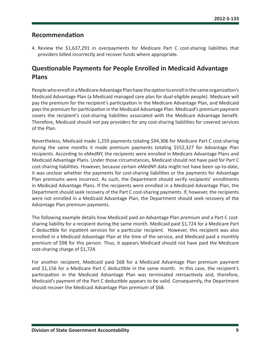## <span id="page-9-0"></span>**Recommendation**

4. Review the \$1,637,291 in overpayments for Medicare Part C cost-sharing liabilities that providers billed incorrectly and recover funds where appropriate.

# **Questionable Payments for People Enrolled in Medicaid Advantage Plans**

People who enroll in a Medicare Advantage Plan have the option to enroll in the same organization's Medicaid Advantage Plan (a Medicaid managed care plan for dual-eligible people). Medicare will pay the premium for the recipient's participation in the Medicare Advantage Plan, and Medicaid pays the premium for participation in the Medicaid Advantage Plan. Medicaid's premium payment covers the recipient's cost-sharing liabilities associated with the Medicare Advantage benefit. Therefore, Medicaid should not pay providers for any cost-sharing liabilities for covered services of the Plan.

Nevertheless, Medicaid made 1,259 payments totaling \$94,306 for Medicare Part C cost-sharing during the same months it made premium payments totaling \$552,327 for Advantage Plan recipients. According to eMedNY, the recipients were enrolled in Medicare Advantage Plans and Medicaid Advantage Plans. Under those circumstances, Medicaid should not have paid for Part C cost-sharing liabilities. However, because certain eMedNY data might not have been up-to-date, it was unclear whether the payments for cost-sharing liabilities or the payments for Advantage Plan premiums were incorrect. As such, the Department should verify recipients' enrollments in Medicaid Advantage Plans. If the recipients were enrolled in a Medicaid Advantage Plan, the Department should seek recovery of the Part C cost-sharing payments. If, however, the recipients were not enrolled in a Medicaid Advantage Plan, the Department should seek recovery of the Advantage Plan premium payments.

The following example details how Medicaid paid an Advantage Plan premium and a Part C costsharing liability for a recipient during the same month. Medicaid paid \$1,724 for a Medicare Part C deductible for inpatient services for a particular recipient. However, this recipient was also enrolled in a Medicaid Advantage Plan at the time of the service, and Medicaid paid a monthly premium of \$98 for this person. Thus, it appears Medicaid should not have paid the Medicare cost-sharing charge of \$1,724.

For another recipient, Medicaid paid \$68 for a Medicaid Advantage Plan premium payment and \$1,156 for a Medicare Part C deductible in the same month. In this case, the recipient's participation in the Medicaid Advantage Plan was terminated retroactively and, therefore, Medicaid's payment of the Part C deductible appears to be valid. Consequently, the Department should recover the Medicaid Advantage Plan premium of \$68.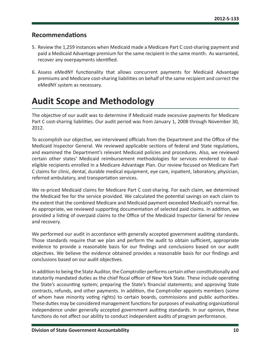### <span id="page-10-0"></span>**Recommendations**

- 5. Review the 1,259 instances when Medicaid made a Medicare Part C cost-sharing payment and paid a Medicaid Advantage premium for the same recipient in the same month. As warranted, recover any overpayments identified.
- 6. Assess eMedNY functionality that allows concurrent payments for Medicaid Advantage premiums and Medicare cost-sharing liabilities on behalf of the same recipient and correct the eMedNY system as necessary.

# **Audit Scope and Methodology**

The objective of our audit was to determine if Medicaid made excessive payments for Medicare Part C cost-sharing liabilities. Our audit period was from January 1, 2008 through November 30, 2012.

To accomplish our objective, we interviewed officials from the Department and the Office of the Medicaid Inspector General. We reviewed applicable sections of federal and State regulations, and examined the Department's relevant Medicaid policies and procedures. Also, we reviewed certain other states' Medicaid reimbursement methodologies for services rendered to dualeligible recipients enrolled in a Medicare Advantage Plan. Our review focused on Medicare Part C claims for clinic, dental, durable medical equipment, eye care, inpatient, laboratory, physician, referred ambulatory, and transportation services.

We re-priced Medicaid claims for Medicare Part C cost-sharing. For each claim, we determined the Medicaid fee for the service provided. We calculated the potential savings on each claim to the extent that the combined Medicare and Medicaid payment exceeded Medicaid's normal fee. As appropriate, we reviewed supporting documentation of selected paid claims. In addition, we provided a listing of overpaid claims to the Office of the Medicaid Inspector General for review and recovery.

We performed our audit in accordance with generally accepted government auditing standards. Those standards require that we plan and perform the audit to obtain sufficient, appropriate evidence to provide a reasonable basis for our findings and conclusions based on our audit objectives. We believe the evidence obtained provides a reasonable basis for our findings and conclusions based on our audit objectives.

In addition to being the State Auditor, the Comptroller performs certain other constitutionally and statutorily mandated duties as the chief fiscal officer of New York State. These include operating the State's accounting system; preparing the State's financial statements; and approving State contracts, refunds, and other payments. In addition, the Comptroller appoints members (some of whom have minority voting rights) to certain boards, commissions and public authorities. These duties may be considered management functions for purposes of evaluating organizational independence under generally accepted government auditing standards. In our opinion, these functions do not affect our ability to conduct independent audits of program performance.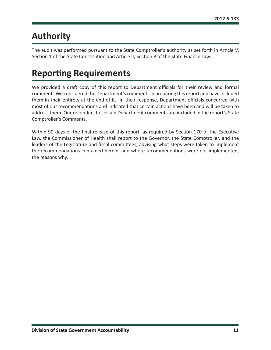# <span id="page-11-0"></span>**Authority**

The audit was performed pursuant to the State Comptroller's authority as set forth in Article V, Section 1 of the State Constitution and Article II, Section 8 of the State Finance Law.

# **Reporting Requirements**

We provided a draft copy of this report to Department officials for their review and formal comment. We considered the Department's comments in preparing this report and have included them in their entirety at the end of it. In their response, Department officials concurred with most of our recommendations and indicated that certain actions have been and will be taken to address them. Our rejoinders to certain Department comments are included in the report's State Comptroller's Comments.

Within 90 days of the final release of this report, as required by Section 170 of the Executive Law, the Commissioner of Health shall report to the Governor, the State Comptroller, and the leaders of the Legislature and fiscal committees, advising what steps were taken to implement the recommendations contained herein, and where recommendations were not implemented, the reasons why.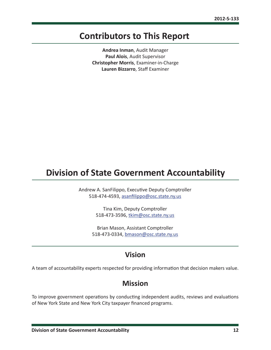# <span id="page-12-0"></span>**Contributors to This Report**

**Andrea Inman**, Audit Manager **Paul Alois**, Audit Supervisor **Christopher Morris**, Examiner-in-Charge **Lauren Bizzarro**, Staff Examiner

# **Division of State Government Accountability**

Andrew A. SanFilippo, Executive Deputy Comptroller 518-474-4593, asanfilippo@osc.state.ny.us

> Tina Kim, Deputy Comptroller 518-473-3596, [tkim@osc.state.ny.us](mailto:tkim%40osc.state.ny.us%0D?subject=)

Brian Mason, Assistant Comptroller 518-473-0334, [bmason@osc.state.ny.us](mailto:bmason%40osc.state.ny.us?subject=)

## **Vision**

A team of accountability experts respected for providing information that decision makers value.

# **Mission**

To improve government operations by conducting independent audits, reviews and evaluations of New York State and New York City taxpayer financed programs.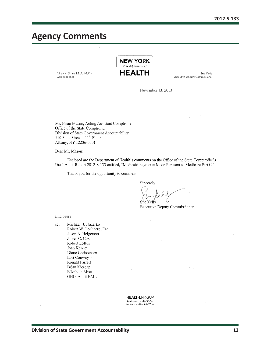# <span id="page-13-0"></span>**Agency Comments**

**NEW YORK**  $state\ department\ of$ **HEALTH** Nirav R. Shah, M.D., M.P.H. Sue Kelly Commissioner **Executive Deputy Commissioner** 

November 13, 2013

Mr. Brian Mason, Acting Assistant Comptroller Office of the State Comptroller Division of State Government Accountability 110 State Street  $-11^{th}$  Floor Albany, NY 12236-0001

Dear Mr. Mason:

Enclosed are the Department of Health's comments on the Office of the State Comptroller's Draft Audit Report 2012-S-133 entitled, "Medicaid Payments Made Pursuant to Medicare Part C."

Thank you for the opportunity to comment.

Sincerely,

Sue Kelly

**Executive Deputy Commissioner** 

Enclosure

Michael J. Nazarko cc: Robert W. LoCicero, Esq. Jason A. Helgerson James C. Cox Robert Loftus Joan Kewley Diane Christensen Lori Conway Ronald Farrell Brian Kiernan Elizabeth Misa OHIP Audit BML

> **HEALTH.NY.GOV** facebook.com/NYSDOH twitter.com/HealthNYGov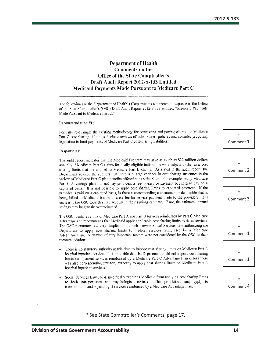### **Department of Health** Comments on the **Office of the State Comptroller's** Draft Audit Report 2012-S-133 Entitled **Medicaid Payments Made Pursuant to Medicare Part C**

The following are the Department of Health's (Department) comments in response to the Office of the State Comptroller's (OSC) Draft Audit Report 2012-S-133 entitled, "Medicaid Payments Made Pursuant to Medicare Part C."

#### Recommendation #1:

Formally re-evaluate the existing methodology for processing and paying claims for Medicare Part C cost-sharing liabilities. Include reviews of other states' policies and consider proposing legislation to limit payments of Medicare Part C cost-sharing liabilities.

#### Response #1:

The audit report indicates that the Medicaid Program may save as much as \$22 million dollars annually if Medicare Part C claims for dually eligible individuals were subject to the same cost sharing limits that are applied to Medicare Part B claims. As stated in the audit report, the Department advised the auditors that there is a large variance in cost sharing structures in the variety of Medicare Part C plan benefits offered across the State. For example, many Medicare Part C Advantage plans do not pay providers a fee-for-service payment but instead pay on a capitated basis. It is not possible to apply cost sharing limits to capitated payments. If the provider is paid on a capitated basis, is there a corresponding coinsurance or deductible that is being billed to Medicaid but no discrete fee-for-service payment made to the provider? It is unclear if the OSC took this into account in their savings estimate. If not, the estimated annual savings may be grossly overestimated.

The OSC identifies a mix of Medicare Part A and Part B services reimbursed by Part C Medicare Advantage and recommends that Medicaid apply applicable cost sharing limits to these services. The OSC recommends a very simplistic approach - revise Social Services law authorizing the Department to apply cost sharing limits to medical services reimbursed by a Medicare Advantage Plan. A number of very important factors were not considered by the OSC in their recommendation:

- There is no statutory authority at this time to impose cost sharing limits on Medicare Part A hospital inpatient services. It is probable that the Department could not impose cost sharing limits on inpatient services reimbursed by a Medicare Part C Advantage Plan unless there was also corresponding statutory authority to apply cost sharing limits on Medicare Part A hospital inpatient services.
- Social Services Law 367-a specifically prohibits Medicaid from applying cost sharing limits to both transportation and psychologist services. This prohibition may apply to transportation and psychologist services reimbursed by a Medicare Advantage Plan.

\* Comment 1



\* Comment 3

\* Comment 1 \* Comment 1

> \* Comment 4

\* See State Comptroller's Comments, page 17.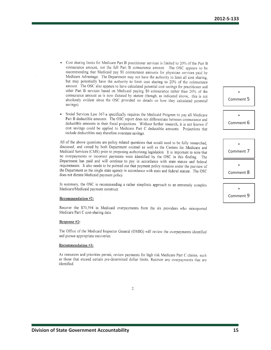- Cost sharing limits for Medicare Part B practitioner services is limited to 20% of the Part B  $\bullet$ coinsurance amount, not the full Part B coinsurance amount. The OSC appears to be recommending that Medicaid pay \$0 coinsurance amounts for physician services paid by Medicare Advantage. The Department may not have the authority to limit all cost sharing, but may potentially have the authority to limit cost sharing to 20% of the coinsurance amount. The OSC also appears to have calculated potential cost savings for practitioner and other Part B services based on Medicaid paying \$0 coinsurance rather than 20% of the coinsurance amount as is now dictated by statute (though, as indicated above, this is not absolutely evident since the OSC provided no details on how they calculated potential savings).
- Social Services Law 367-a specifically requires the Medicaid Program to pay all Medicare Part B deductible amounts. The OSC report does not differentiate between coinsurance and deductible amounts in their fiscal projections. Without further research, it is not known if cost savings could be applied to Medicare Part C deductible amounts. Projections that include deductibles may therefore overstate savings.

All of the above questions are policy related questions that would need to be fully researched, discussed, and vetted by both Department counsel as well as the Centers for Medicare and Medicaid Services (CMS) prior to proposing authorizing legislation. It is important to note that no overpayments or incorrect payments were identified by the OSC in this finding. The Department has paid and will continue to pay in accordance with state statute and federal requirements. It also needs to be pointed out that payment policy remains under the purview of the Department as the single state agency in accordance with state and federal statute. The OSC does not dictate Medicaid payment policy.

In summary, the OSC is recommending a rather simplistic approach to an extremely complex Medicare/Medicaid payment construct.

#### Recommendation #2:

Recover the \$70,594 in Medicaid overpayments from the six providers who misreported Medicare Part C cost-sharing data.

#### Response #2:

The Office of the Medicaid Inspector General (OMIG) will review the overpayments identified and pursue appropriate recoveries.

#### Recommendation #3:

As resources and priorities permit, review payments for high risk Medicare Part C claims, such as those that exceed certain pre-determined dollar limits. Recover any overpayments that are identified.

| ∗         |
|-----------|
| Comment 7 |
| ∗         |
| Comment 8 |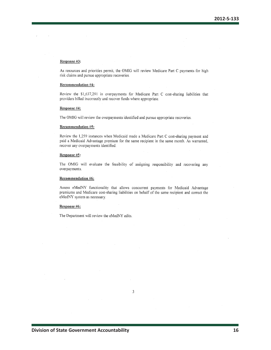#### Response #3:

As resources and priorities permit, the OMIG will review Medicare Part C payments for high risk claims and pursue appropriate recoveries.

### **Recommendation #4:**

Review the \$1,637,291 in overpayments for Medicare Part C cost-sharing liabilities that providers billed incorrectly and recover funds where appropriate.

#### Response #4:

The OMIG will review the overpayments identified and pursue appropriate recoveries.

#### **Recommendation #5:**

Review the 1,259 instances when Medicaid made a Medicare Part C cost-sharing payment and paid a Medicaid Advantage premium for the same recipient in the same month. As warranted, recover any overpayments identified.

#### Response #5:

The OMIG will evaluate the feasibility of assigning responsibility and recovering any overpayments.

#### **Recommendation #6:**

Assess eMedNY functionality that allows concurrent payments for Medicaid Advantage premiums and Medicare cost-sharing liabilities on behalf of the same recipient and correct the eMedNY system as necessary.

 $\mathfrak{Z}$ 

#### Response #6:

The Department will review the eMedNY edits.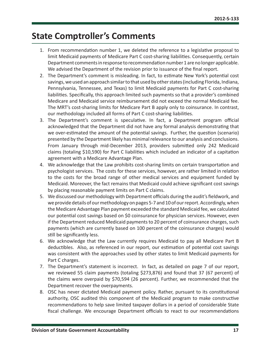# <span id="page-17-0"></span>**State Comptroller's Comments**

- 1. From recommendation number 1, we deleted the reference to a legislative proposal to limit Medicaid payments of Medicare Part C cost-sharing liabilities. Consequently, certain Department comments in response to recommendation number 1 are no longer applicable. We advised the Department of the revision prior to issuance of the final report.
- 2. The Department's comment is misleading. In fact, to estimate New York's potential cost savings, we used an approach similar to that used by other states (including Florida, Indiana, Pennsylvania, Tennessee, and Texas) to limit Medicaid payments for Part C cost-sharing liabilities. Specifically, this approach limited such payments so that a provider's combined Medicare and Medicaid service reimbursement did not exceed the normal Medicaid fee. The MRT's cost-sharing limits for Medicare Part B apply only to coinsurance. In contrast, our methodology included all forms of Part C cost-sharing liabilities.
- 3. The Department's comment is speculative. In fact, a Department program official acknowledged that the Department did not have any formal analysis demonstrating that we over-estimated the amount of the potential savings. Further, the question (scenario) presented by the Department likely has minimal relevance to our analysis and conclusions. From January through mid-December 2013, providers submitted only 242 Medicaid claims (totaling \$10,590) for Part C liabilities which included an indicator of a capitation agreement with a Medicare Advantage Plan.
- 4. We acknowledge that the Law prohibits cost-sharing limits on certain transportation and psychologist services. The costs for these services, however, are rather limited in relation to the costs for the broad range of other medical services and equipment funded by Medicaid. Moreover, the fact remains that Medicaid could achieve significant cost savings by placing reasonable payment limits on Part C claims.
- 5. We discussed our methodology with Department officials during the audit's fieldwork, and we provide details of our methodology on pages 5-7 and 10 of our report. Accordingly, when the Medicare Advantage Plan payment exceeded the standard Medicaid fee, we calculated our potential cost savings based on \$0 coinsurance for physician services. However, even if the Department reduced Medicaid payments to 20 percent of coinsurance charges, such payments (which are currently based on 100 percent of the coinsurance charges) would still be significantly less.
- 6. We acknowledge that the Law currently requires Medicaid to pay all Medicare Part B deductibles. Also, as referenced in our report, our estimation of potential cost savings was consistent with the approaches used by other states to limit Medicaid payments for Part C charges.
- 7. The Department's statement is incorrect. In fact, as detailed on page 7 of our report, we reviewed 55 claim payments (totaling \$273,876) and found that 37 (67 percent) of the claims were overpaid by \$70,594 (26 percent). Further, we recommended that the Department recover the overpayments.
- 8. OSC has never dictated Medicaid payment policy. Rather, pursuant to its constitutional authority, OSC audited this component of the Medicaid program to make constructive recommendations to help save limited taxpayer dollars in a period of considerable State fiscal challenge. We encourage Department officials to react to our recommendations